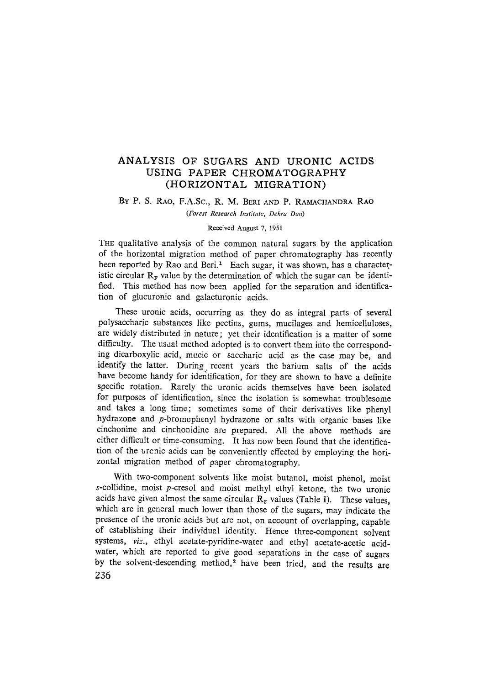## ANALYSIS OF SUGARS AND URONIC ACIDS USING PAPER CHROMATOGRAPHY (HORIZONTAL MIGRATION)

### By P. S. RAO, F.A.Sc., R. M. BERI AND P. RAMACHANDRA RAO

*(Forest Research Institute, Dehra Dun)* 

#### Received August 7, 1951

THE qualitative analysis of the common natural sugars by the application of the horizontal migration method of paper chromatography has recently been reported by Rao and Beri.<sup>1</sup> Each sugar, it was shown, has a characteristic circular  $R_F$  value by the determination of which the sugar can be identified. This method has now been applied for the separation and identification of glucuronic and galacturonic acids.

These uronic acids, occurring as they do as integral parts of several polysaccharic substances like pectins, gums, mucilages and hemicelluloses, are widely distributed in nature; yet their identification is a matter of some difficulty. The usual method adopted is to convert them into the corresponding dicarboxylic acid, mucic or saccharic acid as the case may be, and identify the latter. During recent years the barium salts of the acids have become handy for identification, for they are shown to have a definite specific rotation. Rarely the uronic acids themselves have been isolated for purposes of identification, since the isolation is somewhat troublesome and takes a long time; sometimes some of their derivatives like phenyl hydrazone and p-bromophenyl hydrazone or salts with organic bases like cinchonine and cinchonidine are prepared. All the above methods are either difficult or time-consuming. It has now been found that the identification of the urcnic acids can be conveniently effected by employing the horizontal migration method of paper chromatography.

With two-component solvents like moist butanol, moist phenol, moist s-collidine, moist p-cresol and moist methyl ethyl ketone, the two uronic acids have given almost the same circular  $R_F$  values (Table I). These values, which are in general much lower than those of the sugars, may indicate the presence of the uronic acids but are not, on account of overlapping, capable of establishing their individual identity. Hence three-component solvent systems, *viz.,* ethyl acetate-pyridine-water and ethyl acetate-acetic acidwater, which are reported to give good separations in the case of sugars by the solvent-descending method,<sup>2</sup> have been tried, and the results are 236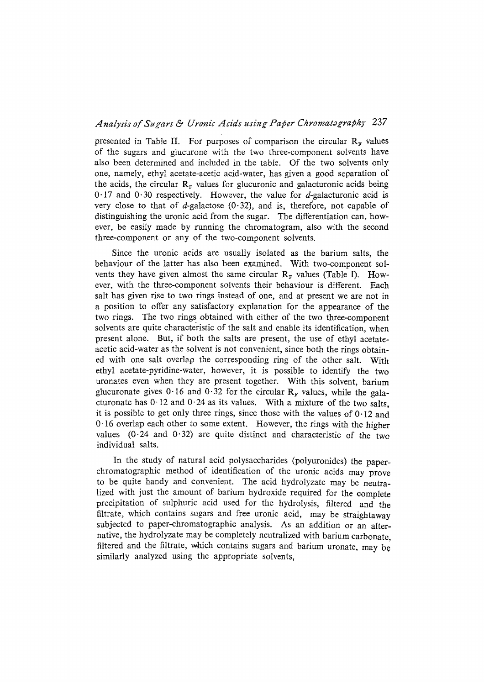## Analysis of Sugars & Uronic Acids using Paper Chromatography 237

presented in Table II. For purposes of comparison the circular  $R<sub>F</sub>$  values of the sugars and glucurone with the two three-component solvents have also been determined and included in the table. Of the two solvents only one, namely, ethyl acetate-acetic acid-water, has given a good separation of the acids, the circular  $\mathbf{R}_{\text{F}}$  values for glucuronic and galacturonic acids being  $0.17$  and  $0.30$  respectively. However, the value for d-galacturonic acid is very close to that of d-galactose  $(0.32)$ , and is, therefore, not capable of distinguishing the uronic acid from the sugar. The differentiation can, however, be easily made by running the chromatogram, also with the second three-component or any of the two-component solvents.

Since the uronic acids are usually isolated as the barium salts, the behaviour of the latter has also been examined. With two-component solvents they have given almost the same circular  $R<sub>F</sub>$  values (Table I). However, with the three-component solvents their behaviour is different. Each salt has given rise to two rings instead of one, and at present we are not in a position to offer any satisfactory explanation for the appearance of the two rings. The two rings obtained with either of the two three-component solvents are quite characteristic of the salt and enable its identification, when present alone. But, if both the salts are present, the use of ethyl acetateacetic acid-water as the solvent is not convenient, since both the rings obtained with one salt overlap the corresponding ring of the other salt. With ethyl acetate-pyridine-water, however, it is possible to identify the two uronates even when they are present together. With this solvent, barium glucuronate gives 0.16 and 0.32 for the circular  $R_F$  values, while the galacturonate has  $0.12$  and  $0.24$  as its values. With a mixture of the two salts, it is possible to get only three rings, since those with the values of  $0.12$  and 0- 16 overlap each other to some extent. However, the rings with the higher values  $(0.24 \text{ and } 0.32)$  are quite distinct and characteristic of the two individual salts.

In the study of natural acid polysaccharides (polyuronides) the paperchromatographic method of identification of the uronic acids may prove to be quite handy and convenient. The acid hydrolyzate may be neutralized with just the amount of. barium hydroxide required for the complete precipitation of sulphuric acid used for the hydrolysis, filtered and the filtrate, which contains sugars and free uronic acid, may be straightaway subjected to paper-chromatographic analysis. As an addition or an alternative, the hydrolyzate may be completely neutralized with barium carbonate, filtered and the filtrate, which contains sugars and barium uronate, may be similarly analyzed using the appropriate solvents,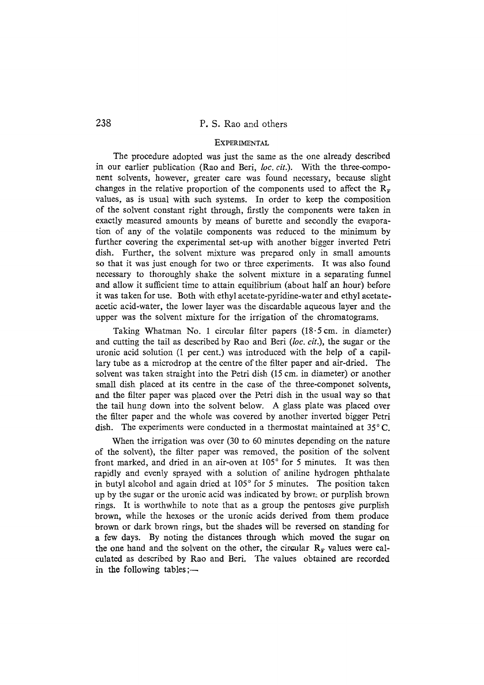## 238 P.S. Rao and others

### **EXPERIMENTAL**

The procedure adopted was just the same as the one already described in our earlier publication (Rao and Beri, *loc. cir.).* With the three-component solvents, however, greater care was found necessary, because slight changes in the relative proportion of the components used to affect the  $R_F$ values, as is usual with such systems. In order to keep the composition of the solvent constant right through, firstly the components were taken in exactly measured amounts by means of burette and secondly the evaporation of any of the volatile components was reduced to the minimum by further covering the experimental set-up with another bigger inverted Petri dish. Further, the solvent mixture was prepared only in small amounts so that it was just enough for two or three experiments. It was also found necessary to thoroughly shake the solvent mixture in a separating funnel and allow it sufficient time to attain equilibrium (about half an hour) before it was taken for use. Both with ethyl acetate-pyridine-water and ethyl acetateacetic acid-water, the lower layer was the discardable aqueous layer and the upper was the solvent mixture for the irrigation of the chromatograms.

Taking Whatman No. 1 circular filter papers  $(18.5 \text{ cm.} \text{ in diameter})$ and cutting the tail as described by Rao and Beri *(loc. cir.),* the sugar or the uronic acid solution (1 per cent.) was introduced with the help of a capillary tube as a microdrop at the centre of the fitter paper and air-dried. The solvent was taken straight into the Petri dish (15 cm. in diameter) or another small dish placed at its centre in the case of the three-componet solvents, and the filter paper was placed over the Petri dish in the usual way so that the tail hung down into the solvent below. A glass plate was placed over the filter paper and the whole was covered by another inverted bigger Petri dish. The experiments were conducted in a thermostat maintained at  $35^{\circ}$ C.

When the irrigation was over (30 to 60 minutes depending on the nature of the solvent), the filter paper was removed, the position of the solvent front marked, and dried in an air-oven at 105° for 5 minutes. It was then rapidly and evenly sprayed with a solution of aniline hydrogen phthalate in butyl alcohol and again dried at  $105^{\circ}$  for 5 minutes. The position taken up by the sugar or the uronic acid was indicated by brown or purplish brown rings. It is worthwhile to note that as a group the pentoses give purplish brown, while the hexoses or the uronic acids derived from them produce brown or dark brown rings, but the shades will be reversed on standing for a few days. By noting the distances through which moved the sugar on the one hand and the solvent on the other, the circular  $R_F$  values were calculated as described by Rao and Beri, The values obtained are recorded in the following tables ;—